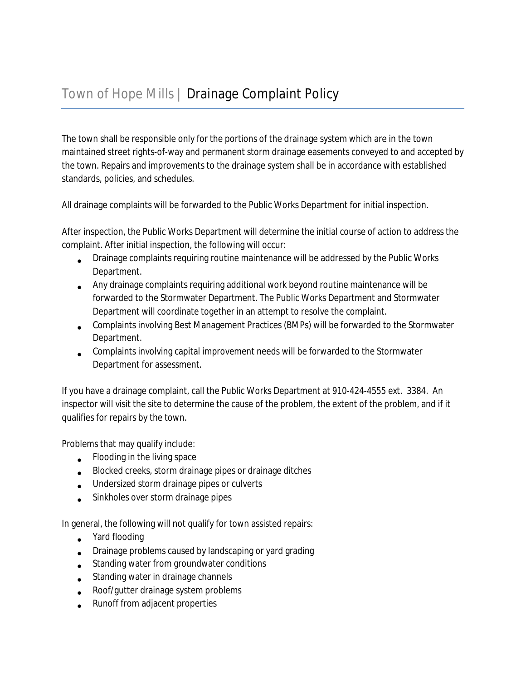The town shall be responsible only for the portions of the drainage system which are in the town maintained street rights-of-way and permanent storm drainage easements conveyed to and accepted by the town. Repairs and improvements to the drainage system shall be in accordance with established standards, policies, and schedules.

All drainage complaints will be forwarded to the Public Works Department for initial inspection.

After inspection, the Public Works Department will determine the initial course of action to address the complaint. After initial inspection, the following will occur:

- **Drainage complaints requiring routine maintenance will be addressed by the Public Works** Department.
- Any drainage complaints requiring additional work beyond routine maintenance will be forwarded to the Stormwater Department. The Public Works Department and Stormwater Department will coordinate together in an attempt to resolve the complaint.
- Complaints involving Best Management Practices (BMPs) will be forwarded to the Stormwater Department.
- Complaints involving capital improvement needs will be forwarded to the Stormwater Department for assessment.

If you have a drainage complaint, call the Public Works Department at 910-424-4555 ext. 3384. An inspector will visit the site to determine the cause of the problem, the extent of the problem, and if it qualifies for repairs by the town.

Problems that may qualify include:

- **•** Flooding in the living space
- Blocked creeks, storm drainage pipes or drainage ditches
- Undersized storm drainage pipes or culverts
- Sinkholes over storm drainage pipes

In general, the following will not qualify for town assisted repairs:

- $\bullet$ Yard flooding
- **Drainage problems caused by landscaping or yard grading**
- $\bullet$ Standing water from groundwater conditions
- $\bullet$ Standing water in drainage channels
- Roof/gutter drainage system problems
- Runoff from adjacent properties